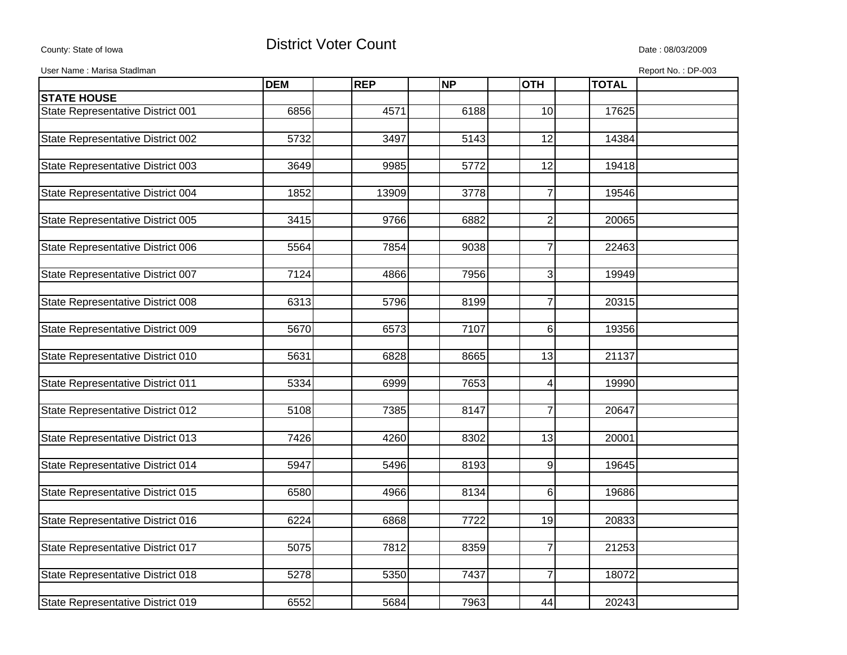## County: State of Iowa **District Voter Count** Description Description Date : 08/03/2009

| User Name: Marisa Stadlman<br>Report No.: DP-003 |            |            |           |                  |              |  |
|--------------------------------------------------|------------|------------|-----------|------------------|--------------|--|
|                                                  | <b>DEM</b> | <b>REP</b> | <b>NP</b> | <b>OTH</b>       | <b>TOTAL</b> |  |
| <b>STATE HOUSE</b>                               |            |            |           |                  |              |  |
| State Representative District 001                | 6856       | 4571       | 6188      | 10               | 17625        |  |
|                                                  |            |            |           |                  |              |  |
| State Representative District 002                | 5732       | 3497       | 5143      | 12               | 14384        |  |
|                                                  |            |            |           |                  |              |  |
| State Representative District 003                | 3649       | 9985       | 5772      | 12               | 19418        |  |
|                                                  |            |            |           |                  |              |  |
| State Representative District 004                | 1852       | 13909      | 3778      | $\overline{7}$   | 19546        |  |
| State Representative District 005                | 3415       | 9766       | 6882      | $\boldsymbol{2}$ | 20065        |  |
|                                                  |            |            |           |                  |              |  |
| State Representative District 006                | 5564       | 7854       | 9038      | $\overline{7}$   | 22463        |  |
|                                                  |            |            |           |                  |              |  |
| State Representative District 007                | 7124       | 4866       | 7956      | 3                | 19949        |  |
|                                                  |            |            |           |                  |              |  |
| State Representative District 008                | 6313       | 5796       | 8199      | $\overline{7}$   | 20315        |  |
|                                                  |            |            |           |                  |              |  |
| State Representative District 009                | 5670       | 6573       | 7107      | 6                | 19356        |  |
| State Representative District 010                | 5631       | 6828       | 8665      | 13               | 21137        |  |
|                                                  |            |            |           |                  |              |  |
| State Representative District 011                | 5334       | 6999       | 7653      | 4                | 19990        |  |
|                                                  |            |            |           |                  |              |  |
| State Representative District 012                | 5108       | 7385       | 8147      | $\overline{7}$   | 20647        |  |
|                                                  |            |            |           |                  |              |  |
| State Representative District 013                | 7426       | 4260       | 8302      | $\overline{13}$  | 20001        |  |
|                                                  |            |            |           |                  |              |  |
| State Representative District 014                | 5947       | 5496       | 8193      | 9                | 19645        |  |
| State Representative District 015                | 6580       | 4966       | 8134      | 6                | 19686        |  |
|                                                  |            |            |           |                  |              |  |
| State Representative District 016                | 6224       | 6868       | 7722      | 19               | 20833        |  |
|                                                  |            |            |           |                  |              |  |
| State Representative District 017                | 5075       | 7812       | 8359      | $\overline{7}$   | 21253        |  |
|                                                  |            |            |           |                  |              |  |
| State Representative District 018                | 5278       | 5350       | 7437      | $\overline{7}$   | 18072        |  |
|                                                  |            |            |           |                  |              |  |
| State Representative District 019                | 6552       | 5684       | 7963      | 44               | 20243        |  |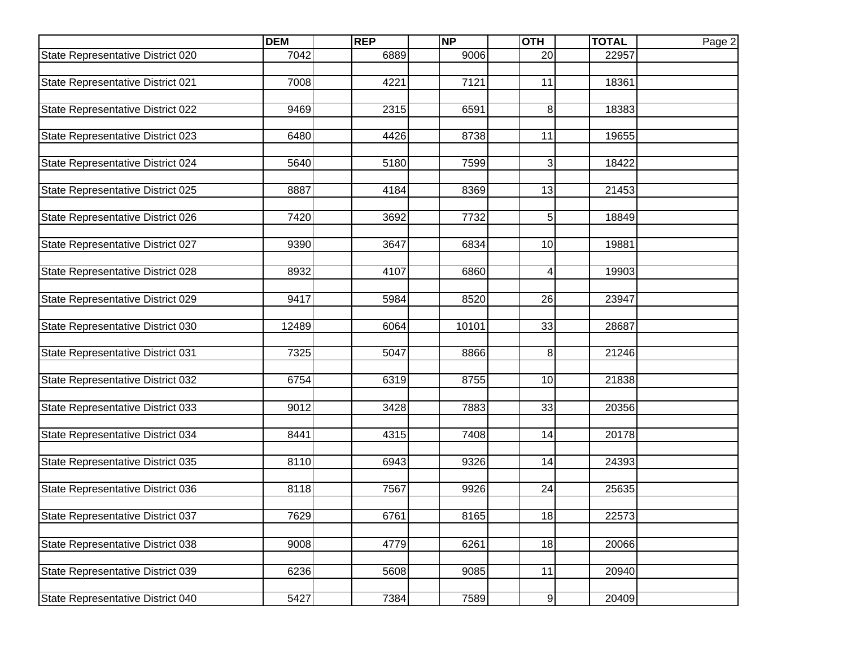|                                   | <b>DEM</b> | <b>REP</b> | <b>NP</b> | <b>OTH</b>     | <b>TOTAL</b> | Page 2 |
|-----------------------------------|------------|------------|-----------|----------------|--------------|--------|
| State Representative District 020 | 7042       | 6889       | 9006      | 20             | 22957        |        |
|                                   |            |            |           |                |              |        |
| State Representative District 021 | 7008       | 4221       | 7121      | 11             | 18361        |        |
|                                   |            |            |           |                |              |        |
| State Representative District 022 | 9469       | 2315       | 6591      | 8              | 18383        |        |
| State Representative District 023 | 6480       | 4426       | 8738      | 11             | 19655        |        |
|                                   |            |            |           |                |              |        |
| State Representative District 024 | 5640       | 5180       | 7599      | 3              | 18422        |        |
|                                   |            |            |           |                |              |        |
| State Representative District 025 | 8887       | 4184       | 8369      | 13             | 21453        |        |
|                                   |            |            |           |                |              |        |
| State Representative District 026 | 7420       | 3692       | 7732      | 5              | 18849        |        |
|                                   |            |            |           |                |              |        |
| State Representative District 027 | 9390       | 3647       | 6834      | 10             | 19881        |        |
|                                   |            |            |           |                |              |        |
| State Representative District 028 | 8932       | 4107       | 6860      | $\overline{4}$ | 19903        |        |
| State Representative District 029 | 9417       | 5984       | 8520      | 26             | 23947        |        |
|                                   |            |            |           |                |              |        |
| State Representative District 030 | 12489      | 6064       | 10101     | 33             | 28687        |        |
|                                   |            |            |           |                |              |        |
| State Representative District 031 | 7325       | 5047       | 8866      | 8              | 21246        |        |
|                                   |            |            |           |                |              |        |
| State Representative District 032 | 6754       | 6319       | 8755      | 10             | 21838        |        |
|                                   |            |            |           |                |              |        |
| State Representative District 033 | 9012       | 3428       | 7883      | 33             | 20356        |        |
|                                   | 8441       | 4315       | 7408      |                | 20178        |        |
| State Representative District 034 |            |            |           | 14             |              |        |
| State Representative District 035 | 8110       | 6943       | 9326      | 14             | 24393        |        |
|                                   |            |            |           |                |              |        |
| State Representative District 036 | 8118       | 7567       | 9926      | 24             | 25635        |        |
|                                   |            |            |           |                |              |        |
| State Representative District 037 | 7629       | 6761       | 8165      | 18             | 22573        |        |
|                                   |            |            |           |                |              |        |
| State Representative District 038 | 9008       | 4779       | 6261      | 18             | 20066        |        |
|                                   |            |            |           |                |              |        |
| State Representative District 039 | 6236       | 5608       | 9085      | 11             | 20940        |        |
|                                   |            |            |           |                |              |        |
| State Representative District 040 | 5427       | 7384       | 7589      | 9              | 20409        |        |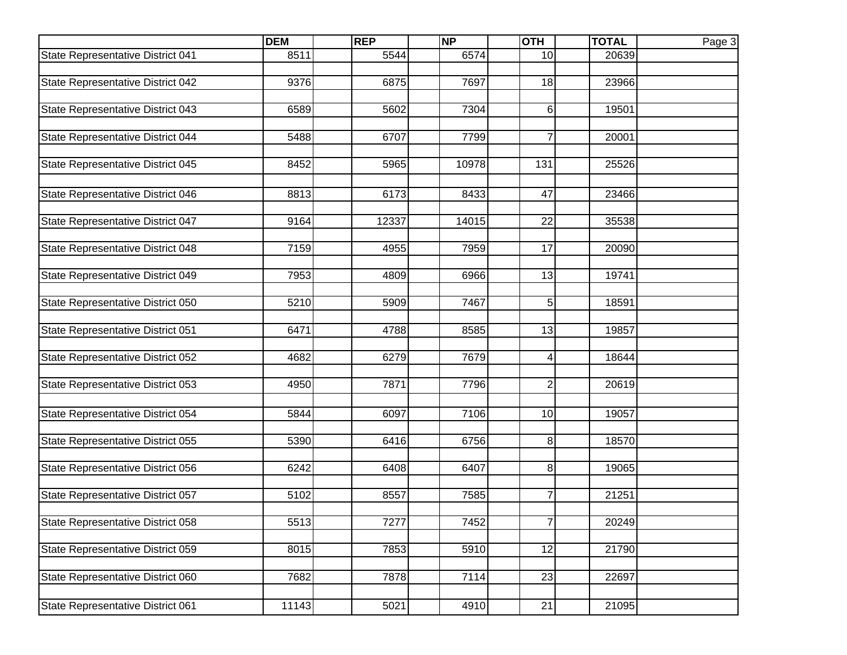|                                   | <b>DEM</b> | <b>REP</b> | <b>NP</b> | <b>OTH</b>     | <b>TOTAL</b> | Page 3 |
|-----------------------------------|------------|------------|-----------|----------------|--------------|--------|
| State Representative District 041 | 8511       | 5544       | 6574      | 10             | 20639        |        |
|                                   |            |            |           |                |              |        |
| State Representative District 042 | 9376       | 6875       | 7697      | 18             | 23966        |        |
|                                   |            |            |           |                |              |        |
| State Representative District 043 | 6589       | 5602       | 7304      | 6              | 19501        |        |
| State Representative District 044 | 5488       | 6707       | 7799      | $\overline{7}$ | 20001        |        |
|                                   |            |            |           |                |              |        |
| State Representative District 045 | 8452       | 5965       | 10978     | 131            | 25526        |        |
|                                   |            |            |           |                |              |        |
| State Representative District 046 | 8813       | 6173       | 8433      | 47             | 23466        |        |
|                                   |            |            |           |                |              |        |
| State Representative District 047 | 9164       | 12337      | 14015     | 22             | 35538        |        |
|                                   |            |            |           |                |              |        |
| State Representative District 048 | 7159       | 4955       | 7959      | 17             | 20090        |        |
|                                   |            |            |           |                |              |        |
| State Representative District 049 | 7953       | 4809       | 6966      | 13             | 19741        |        |
| State Representative District 050 | 5210       | 5909       | 7467      | 5              | 18591        |        |
|                                   |            |            |           |                |              |        |
| State Representative District 051 | 6471       | 4788       | 8585      | 13             | 19857        |        |
|                                   |            |            |           |                |              |        |
| State Representative District 052 | 4682       | 6279       | 7679      | 4              | 18644        |        |
|                                   |            |            |           |                |              |        |
| State Representative District 053 | 4950       | 7871       | 7796      | $\overline{2}$ | 20619        |        |
|                                   |            |            |           |                |              |        |
| State Representative District 054 | 5844       | 6097       | 7106      | 10             | 19057        |        |
|                                   |            |            |           |                |              |        |
| State Representative District 055 | 5390       | 6416       | 6756      | 8              | 18570        |        |
| State Representative District 056 | 6242       | 6408       | 6407      | 8              | 19065        |        |
|                                   |            |            |           |                |              |        |
| State Representative District 057 | 5102       | 8557       | 7585      | 7              | 21251        |        |
|                                   |            |            |           |                |              |        |
| State Representative District 058 | 5513       | 7277       | 7452      | $\overline{7}$ | 20249        |        |
|                                   |            |            |           |                |              |        |
| State Representative District 059 | 8015       | 7853       | 5910      | 12             | 21790        |        |
|                                   |            |            |           |                |              |        |
| State Representative District 060 | 7682       | 7878       | 7114      | 23             | 22697        |        |
|                                   |            |            |           |                |              |        |
| State Representative District 061 | 11143      | 5021       | 4910      | 21             | 21095        |        |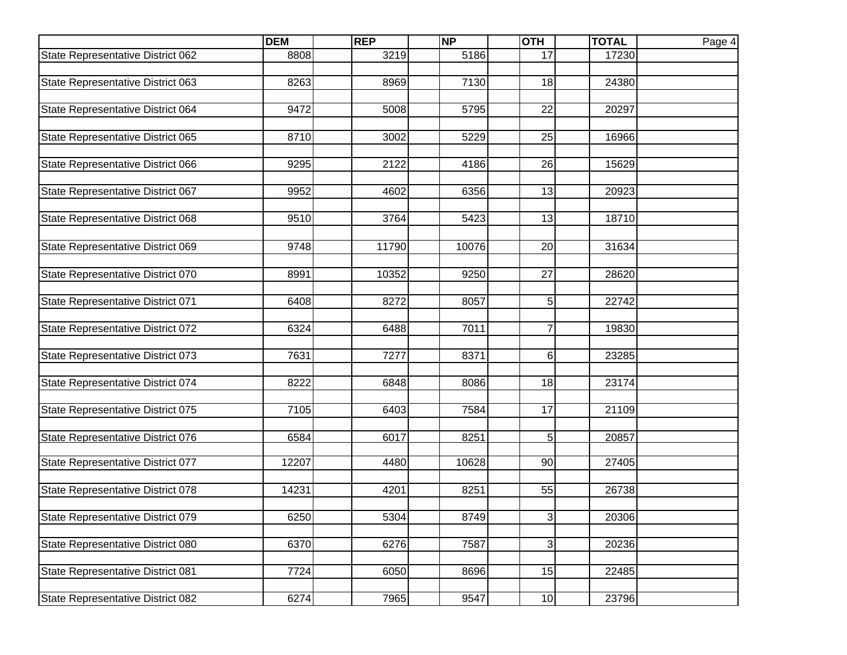|                                          | <b>DEM</b> | <b>REP</b> | <b>NP</b> | <b>OTH</b>     | <b>TOTAL</b> | Page 4 |
|------------------------------------------|------------|------------|-----------|----------------|--------------|--------|
| State Representative District 062        | 8808       | 3219       | 5186      | 17             | 17230        |        |
|                                          |            |            |           |                |              |        |
| State Representative District 063        | 8263       | 8969       | 7130      | 18             | 24380        |        |
|                                          |            |            |           |                |              |        |
| State Representative District 064        | 9472       | 5008       | 5795      | 22             | 20297        |        |
| State Representative District 065        | 8710       | 3002       | 5229      | 25             | 16966        |        |
|                                          |            |            |           |                |              |        |
| State Representative District 066        | 9295       | 2122       | 4186      | 26             | 15629        |        |
|                                          |            |            |           |                |              |        |
| State Representative District 067        | 9952       | 4602       | 6356      | 13             | 20923        |        |
|                                          |            |            |           |                |              |        |
| State Representative District 068        | 9510       | 3764       | 5423      | 13             | 18710        |        |
|                                          |            |            |           |                |              |        |
| State Representative District 069        | 9748       | 11790      | 10076     | 20             | 31634        |        |
|                                          |            |            |           |                |              |        |
| State Representative District 070        | 8991       | 10352      | 9250      | 27             | 28620        |        |
| State Representative District 071        | 6408       | 8272       | 8057      | 5              | 22742        |        |
|                                          |            |            |           |                |              |        |
| State Representative District 072        | 6324       | 6488       | 7011      | $\overline{7}$ | 19830        |        |
|                                          |            |            |           |                |              |        |
| State Representative District 073        | 7631       | 7277       | 8371      | 6              | 23285        |        |
|                                          |            |            |           |                |              |        |
| State Representative District 074        | 8222       | 6848       | 8086      | 18             | 23174        |        |
|                                          |            |            |           |                |              |        |
| State Representative District 075        | 7105       | 6403       | 7584      | 17             | 21109        |        |
| <b>State Representative District 076</b> | 6584       | 6017       | 8251      | 5              | 20857        |        |
|                                          |            |            |           |                |              |        |
| State Representative District 077        | 12207      | 4480       | 10628     | 90             | 27405        |        |
|                                          |            |            |           |                |              |        |
| State Representative District 078        | 14231      | 4201       | 8251      | 55             | 26738        |        |
|                                          |            |            |           |                |              |        |
| State Representative District 079        | 6250       | 5304       | 8749      | 3              | 20306        |        |
| State Representative District 080        | 6370       | 6276       | 7587      | 3              | 20236        |        |
|                                          |            |            |           |                |              |        |
| State Representative District 081        | 7724       | 6050       | 8696      | 15             | 22485        |        |
|                                          |            |            |           |                |              |        |
| State Representative District 082        | 6274       | 7965       | 9547      | 10             | 23796        |        |